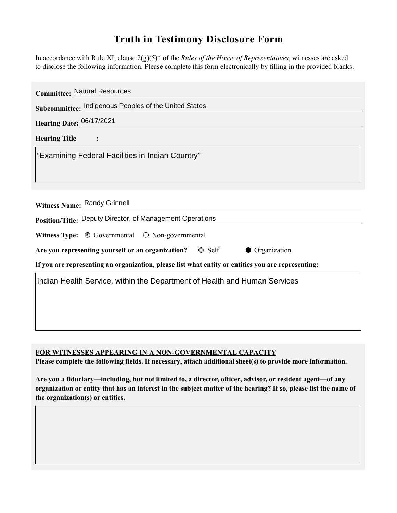## **Truth in Testimony Disclosure Form**

In accordance with Rule XI, clause 2(g)(5)\* of the *Rules of the House of Representatives*, witnesses are asked to disclose the following information. Please complete this form electronically by filling in the provided blanks.

| <b>Committee: Natural Resources</b>                                                                |
|----------------------------------------------------------------------------------------------------|
| Subcommittee: Indigenous Peoples of the United States                                              |
| Hearing Date: 06/17/2021                                                                           |
| <b>Hearing Title</b>                                                                               |
| "Examining Federal Facilities in Indian Country"                                                   |
|                                                                                                    |
|                                                                                                    |
| Witness Name: Randy Grinnell                                                                       |
| Position/Title: Deputy Director, of Management Operations                                          |
| <b>Witness Type:</b> $\odot$ Governmental $\odot$ Non-governmental                                 |
| $\circ$ Self<br>• Organization<br>Are you representing yourself or an organization?                |
| If you are representing an organization, please list what entity or entities you are representing: |
| Indian Health Service, within the Department of Health and Human Services                          |
|                                                                                                    |
|                                                                                                    |
|                                                                                                    |
|                                                                                                    |

**FOR WITNESSES APPEARING IN A NON-GOVERNMENTAL CAPACITY**

**Please complete the following fields. If necessary, attach additional sheet(s) to provide more information.**

**Are you a fiduciary—including, but not limited to, a director, officer, advisor, or resident agent—of any organization or entity that has an interest in the subject matter of the hearing? If so, please list the name of the organization(s) or entities.**